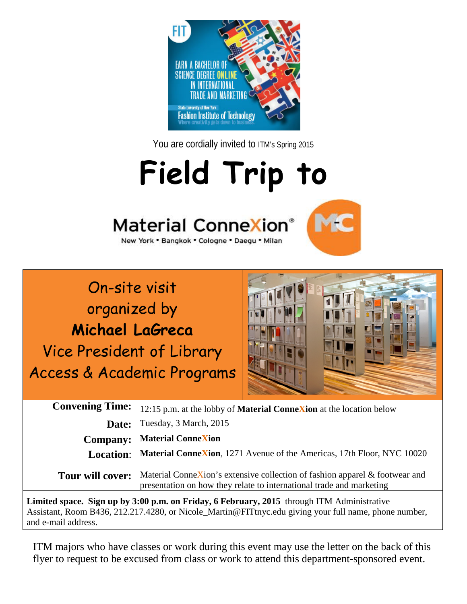

You are cordially invited to ITM's Spring 2015

## **Field Trip to**







**Limited space. Sign up by 3:00 p.m. on Friday, 6 February, 2015** through ITM Administrative Assistant, Room B436, 212.217.4280, or Nicole\_Martin@FITtnyc.edu giving your full name, phone number, and e-mail address.

ITM majors who have classes or work during this event may use the letter on the back of this flyer to request to be excused from class or work to attend this department-sponsored event.